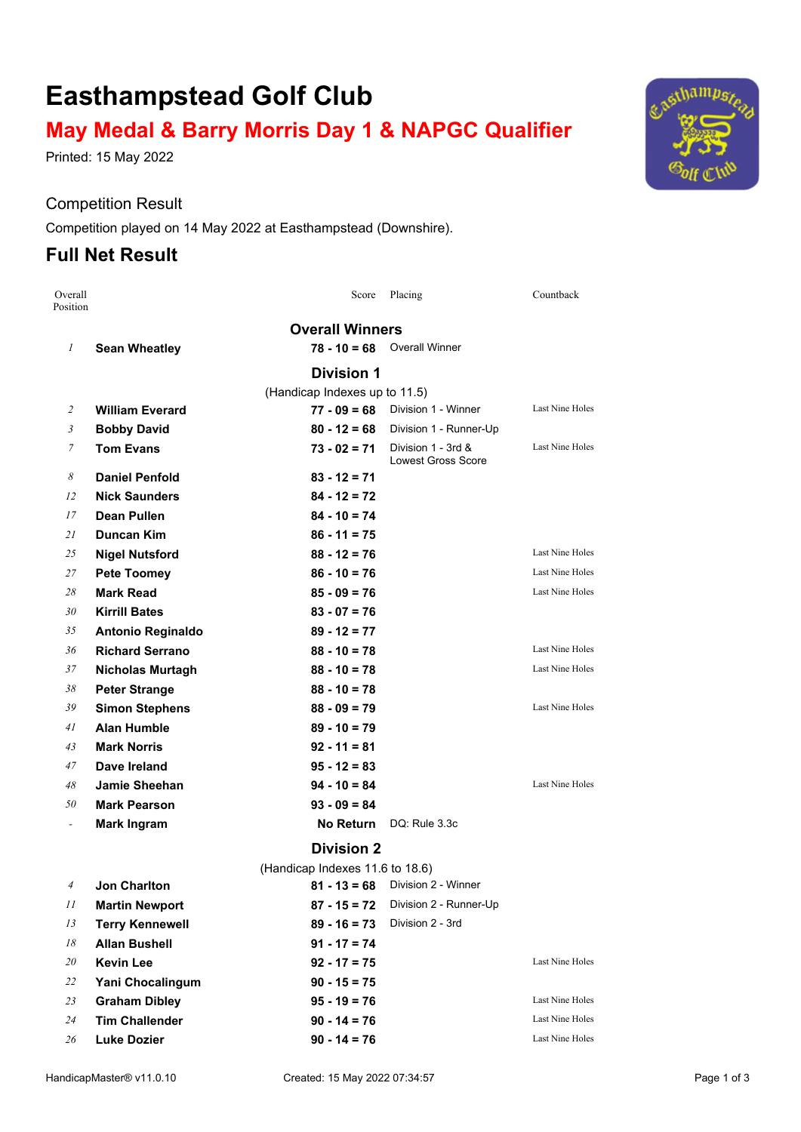# **Easthampstead Golf Club**

# **May Medal & Barry Morris Day 1 & NAPGC Qualifier**

Printed: 15 May 2022

#### Competition Result

Competition played on 14 May 2022 at Easthampstead (Downshire).

## **Full Net Result**

| Overall<br>Position |                          | Score                           | Placing                                         | Countback              |
|---------------------|--------------------------|---------------------------------|-------------------------------------------------|------------------------|
|                     |                          | <b>Overall Winners</b>          |                                                 |                        |
| $\mathcal{I}$       | <b>Sean Wheatley</b>     | $78 - 10 = 68$                  | <b>Overall Winner</b>                           |                        |
|                     |                          | <b>Division 1</b>               |                                                 |                        |
|                     |                          | (Handicap Indexes up to 11.5)   |                                                 |                        |
| 2                   | <b>William Everard</b>   | $77 - 09 = 68$                  | Division 1 - Winner                             | <b>Last Nine Holes</b> |
| $\mathfrak{Z}$      | <b>Bobby David</b>       | $80 - 12 = 68$                  | Division 1 - Runner-Up                          |                        |
| 7                   | <b>Tom Evans</b>         | $73 - 02 = 71$                  | Division 1 - 3rd &<br><b>Lowest Gross Score</b> | Last Nine Holes        |
| 8                   | <b>Daniel Penfold</b>    | $83 - 12 = 71$                  |                                                 |                        |
| 12                  | <b>Nick Saunders</b>     | $84 - 12 = 72$                  |                                                 |                        |
| 17                  | <b>Dean Pullen</b>       | $84 - 10 = 74$                  |                                                 |                        |
| 21                  | <b>Duncan Kim</b>        | $86 - 11 = 75$                  |                                                 |                        |
| 25                  | <b>Nigel Nutsford</b>    | $88 - 12 = 76$                  |                                                 | Last Nine Holes        |
| 27                  | <b>Pete Toomey</b>       | $86 - 10 = 76$                  |                                                 | Last Nine Holes        |
| 28                  | <b>Mark Read</b>         | $85 - 09 = 76$                  |                                                 | Last Nine Holes        |
| 30                  | <b>Kirrill Bates</b>     | $83 - 07 = 76$                  |                                                 |                        |
| 35                  | <b>Antonio Reginaldo</b> | $89 - 12 = 77$                  |                                                 |                        |
| 36                  | <b>Richard Serrano</b>   | $88 - 10 = 78$                  |                                                 | Last Nine Holes        |
| 37                  | <b>Nicholas Murtagh</b>  | $88 - 10 = 78$                  |                                                 | Last Nine Holes        |
| 38                  | <b>Peter Strange</b>     | $88 - 10 = 78$                  |                                                 |                        |
| 39                  | <b>Simon Stephens</b>    | $88 - 09 = 79$                  |                                                 | <b>Last Nine Holes</b> |
| 41                  | Alan Humble              | $89 - 10 = 79$                  |                                                 |                        |
| 43                  | <b>Mark Norris</b>       | $92 - 11 = 81$                  |                                                 |                        |
| 47                  | Dave Ireland             | $95 - 12 = 83$                  |                                                 |                        |
| 48                  | <b>Jamie Sheehan</b>     | $94 - 10 = 84$                  |                                                 | Last Nine Holes        |
| 50                  | <b>Mark Pearson</b>      | $93 - 09 = 84$                  |                                                 |                        |
| $\blacksquare$      | <b>Mark Ingram</b>       | <b>No Return</b>                | DQ: Rule 3.3c                                   |                        |
|                     |                          | <b>Division 2</b>               |                                                 |                        |
|                     |                          | (Handicap Indexes 11.6 to 18.6) |                                                 |                        |
| 4                   | <b>Jon Charlton</b>      | $81 - 13 = 68$                  | Division 2 - Winner                             |                        |
| 11                  | <b>Martin Newport</b>    | $87 - 15 = 72$                  | Division 2 - Runner-Up                          |                        |
| 13                  | <b>Terry Kennewell</b>   | $89 - 16 = 73$                  | Division 2 - 3rd                                |                        |
| 18                  | <b>Allan Bushell</b>     | $91 - 17 = 74$                  |                                                 |                        |
| 20                  | <b>Kevin Lee</b>         | $92 - 17 = 75$                  |                                                 | Last Nine Holes        |
| 22                  | Yani Chocalingum         | $90 - 15 = 75$                  |                                                 |                        |
| 23                  | <b>Graham Dibley</b>     | $95 - 19 = 76$                  |                                                 | <b>Last Nine Holes</b> |
| $24\,$              | <b>Tim Challender</b>    | $90 - 14 = 76$                  |                                                 | Last Nine Holes        |
| 26                  | <b>Luke Dozier</b>       | $90 - 14 = 76$                  |                                                 | <b>Last Nine Holes</b> |

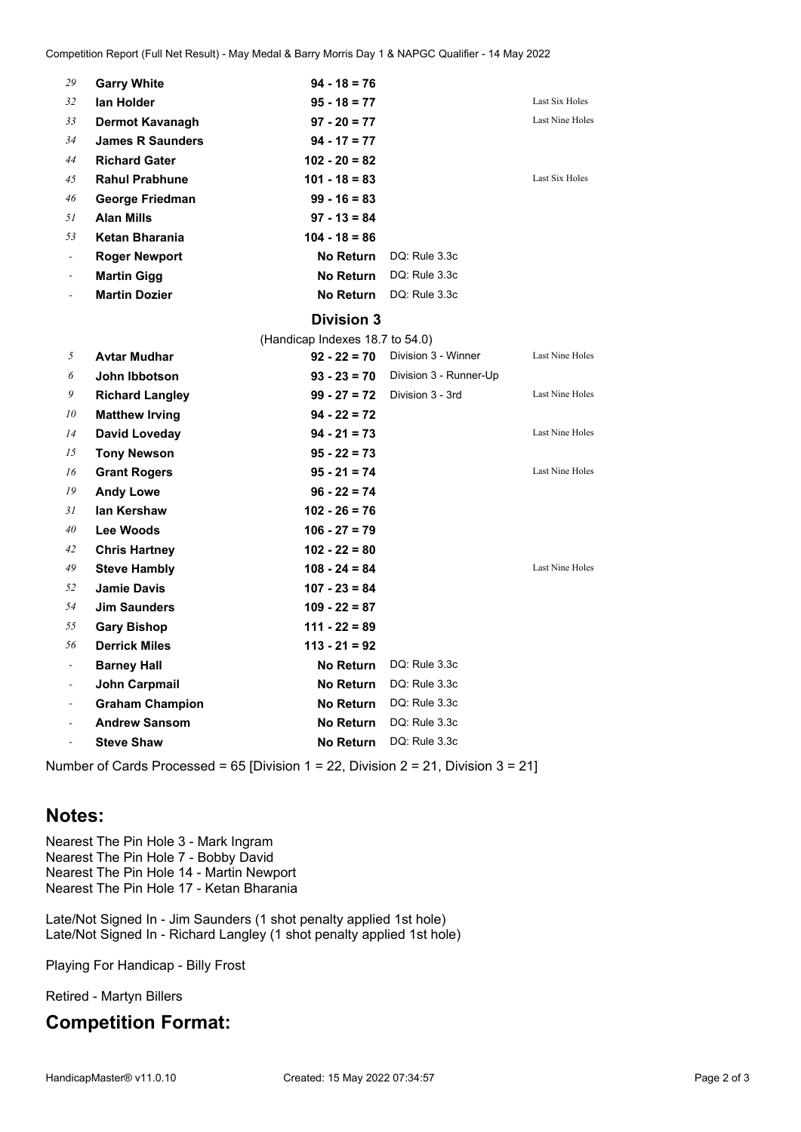| 29                       | <b>Garry White</b>      | $94 - 18 = 76$   |               |                 |
|--------------------------|-------------------------|------------------|---------------|-----------------|
| 32                       | lan Holder              | $95 - 18 = 77$   |               | Last Six Holes  |
| 33                       | Dermot Kavanagh         | $97 - 20 = 77$   |               | Last Nine Holes |
| 34                       | <b>James R Saunders</b> | $94 - 17 = 77$   |               |                 |
| 44                       | <b>Richard Gater</b>    | $102 - 20 = 82$  |               |                 |
| 45                       | <b>Rahul Prabhune</b>   | $101 - 18 = 83$  |               | Last Six Holes  |
| 46                       | George Friedman         | $99 - 16 = 83$   |               |                 |
| 51                       | <b>Alan Mills</b>       | $97 - 13 = 84$   |               |                 |
| 53                       | Ketan Bharania          | $104 - 18 = 86$  |               |                 |
| $\overline{\phantom{a}}$ | <b>Roger Newport</b>    | <b>No Return</b> | DQ: Rule 3.3c |                 |
|                          | <b>Martin Gigg</b>      | <b>No Return</b> | DO: Rule 3.3c |                 |
|                          | <b>Martin Dozier</b>    | <b>No Return</b> | DQ: Rule 3.3c |                 |

#### **Division 3**

|                          | (Handicap Indexes 18.7 to 54.0) |                  |                        |                 |  |
|--------------------------|---------------------------------|------------------|------------------------|-----------------|--|
| 5                        | <b>Avtar Mudhar</b>             | $92 - 22 = 70$   | Division 3 - Winner    | Last Nine Holes |  |
| 6                        | John Ibbotson                   | $93 - 23 = 70$   | Division 3 - Runner-Up |                 |  |
| 9                        | <b>Richard Langley</b>          | $99 - 27 = 72$   | Division 3 - 3rd       | Last Nine Holes |  |
| 10                       | <b>Matthew Irving</b>           | $94 - 22 = 72$   |                        |                 |  |
| 14                       | David Loveday                   | $94 - 21 = 73$   |                        | Last Nine Holes |  |
| 15                       | <b>Tony Newson</b>              | $95 - 22 = 73$   |                        |                 |  |
| 16                       | <b>Grant Rogers</b>             | $95 - 21 = 74$   |                        | Last Nine Holes |  |
| 19                       | <b>Andy Lowe</b>                | $96 - 22 = 74$   |                        |                 |  |
| 31                       | lan Kershaw                     | $102 - 26 = 76$  |                        |                 |  |
| 40                       | Lee Woods                       | $106 - 27 = 79$  |                        |                 |  |
| 42                       | <b>Chris Hartney</b>            | $102 - 22 = 80$  |                        |                 |  |
| 49                       | <b>Steve Hambly</b>             | $108 - 24 = 84$  |                        | Last Nine Holes |  |
| 52                       | <b>Jamie Davis</b>              | $107 - 23 = 84$  |                        |                 |  |
| 54                       | <b>Jim Saunders</b>             | $109 - 22 = 87$  |                        |                 |  |
| 55                       | <b>Gary Bishop</b>              | $111 - 22 = 89$  |                        |                 |  |
| 56                       | <b>Derrick Miles</b>            | $113 - 21 = 92$  |                        |                 |  |
| ٠                        | <b>Barney Hall</b>              | <b>No Return</b> | DQ: Rule 3.3c          |                 |  |
| $\overline{\phantom{a}}$ | <b>John Carpmail</b>            | <b>No Return</b> | DQ: Rule 3.3c          |                 |  |
| ۰.                       | <b>Graham Champion</b>          | <b>No Return</b> | DQ: Rule 3.3c          |                 |  |
|                          | <b>Andrew Sansom</b>            | No Return        | DQ: Rule 3.3c          |                 |  |
| $\overline{\phantom{a}}$ | <b>Steve Shaw</b>               | <b>No Return</b> | DQ: Rule 3.3c          |                 |  |

Number of Cards Processed = 65 [Division 1 = 22, Division 2 = 21, Division 3 = 21]

### **Notes:**

Nearest The Pin Hole 3 - Mark Ingram Nearest The Pin Hole 7 - Bobby David Nearest The Pin Hole 14 - Martin Newport Nearest The Pin Hole 17 - Ketan Bharania

Late/Not Signed In - Jim Saunders (1 shot penalty applied 1st hole) Late/Not Signed In - Richard Langley (1 shot penalty applied 1st hole)

Playing For Handicap - Billy Frost

Retired - Martyn Billers

### **Competition Format:**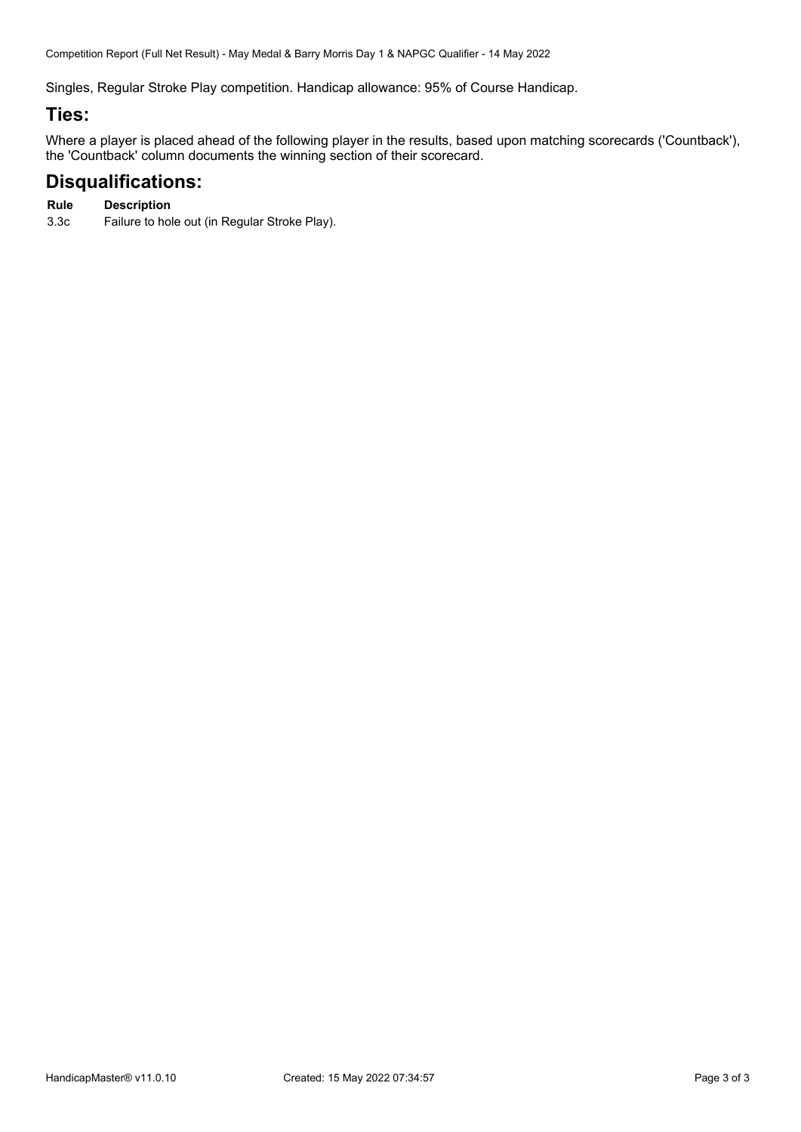Competition Report (Full Net Result) - May Medal & Barry Morris Day 1 & NAPGC Qualifier - 14 May 2022

Singles, Regular Stroke Play competition. Handicap allowance: 95% of Course Handicap.

### **Ties:**

Where a player is placed ahead of the following player in the results, based upon matching scorecards ('Countback'), the 'Countback' column documents the winning section of their scorecard.

## **Disqualifications:**

#### **Rule Description**

3.3c Failure to hole out (in Regular Stroke Play).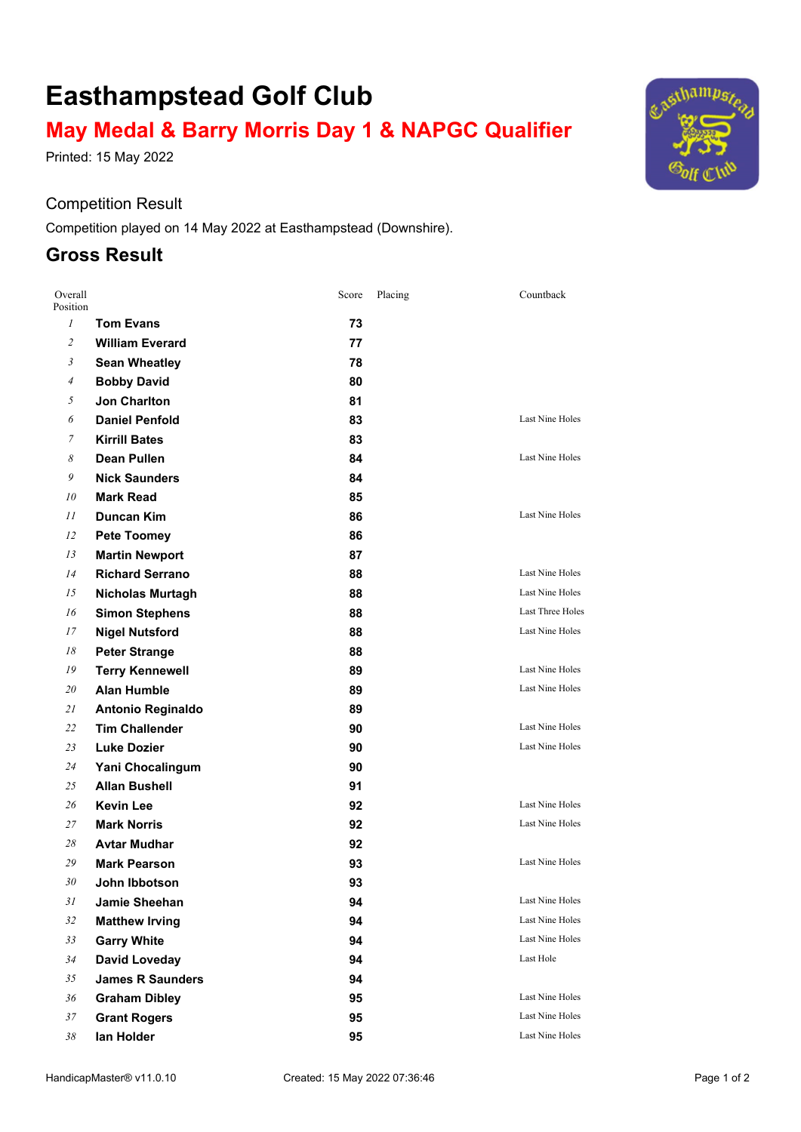# **Easthampstead Golf Club**

# **May Medal & Barry Morris Day 1 & NAPGC Qualifier**

Printed: 15 May 2022

### Competition Result

Competition played on 14 May 2022 at Easthampstead (Downshire).

## **Gross Result**

| Overall<br>Position |                          | Score | Placing | Countback              |
|---------------------|--------------------------|-------|---------|------------------------|
| $\mathfrak{1}$      | <b>Tom Evans</b>         | 73    |         |                        |
| $\overline{c}$      | <b>William Everard</b>   | 77    |         |                        |
| 3                   | <b>Sean Wheatley</b>     | 78    |         |                        |
| 4                   | <b>Bobby David</b>       | 80    |         |                        |
| 5                   | <b>Jon Charlton</b>      | 81    |         |                        |
| 6                   | <b>Daniel Penfold</b>    | 83    |         | Last Nine Holes        |
| 7                   | <b>Kirrill Bates</b>     | 83    |         |                        |
| 8                   | <b>Dean Pullen</b>       | 84    |         | <b>Last Nine Holes</b> |
| 9                   | <b>Nick Saunders</b>     | 84    |         |                        |
| 10                  | <b>Mark Read</b>         | 85    |         |                        |
| 11                  | Duncan Kim               | 86    |         | <b>Last Nine Holes</b> |
| 12                  | <b>Pete Toomey</b>       | 86    |         |                        |
| 13                  | <b>Martin Newport</b>    | 87    |         |                        |
| 14                  | <b>Richard Serrano</b>   | 88    |         | Last Nine Holes        |
| 15                  | <b>Nicholas Murtagh</b>  | 88    |         | <b>Last Nine Holes</b> |
| 16                  | <b>Simon Stephens</b>    | 88    |         | Last Three Holes       |
| 17                  | <b>Nigel Nutsford</b>    | 88    |         | Last Nine Holes        |
| 18                  | <b>Peter Strange</b>     | 88    |         |                        |
| 19                  | <b>Terry Kennewell</b>   | 89    |         | Last Nine Holes        |
| 20                  | <b>Alan Humble</b>       | 89    |         | Last Nine Holes        |
| 21                  | <b>Antonio Reginaldo</b> | 89    |         |                        |
| 22                  | <b>Tim Challender</b>    | 90    |         | <b>Last Nine Holes</b> |
| 23                  | <b>Luke Dozier</b>       | 90    |         | <b>Last Nine Holes</b> |
| 24                  | Yani Chocalingum         | 90    |         |                        |
| 25                  | <b>Allan Bushell</b>     | 91    |         |                        |
| 26                  | <b>Kevin Lee</b>         | 92    |         | Last Nine Holes        |
| 27                  | <b>Mark Norris</b>       | 92    |         | Last Nine Holes        |
| 28                  | <b>Avtar Mudhar</b>      | 92    |         |                        |
| 29                  | Mark Pearson             | 93    |         | Last Nine Holes        |
| 30                  | John Ibbotson            | 93    |         |                        |
| 31                  | Jamie Sheehan            | 94    |         | Last Nine Holes        |
| 32                  | <b>Matthew Irving</b>    | 94    |         | Last Nine Holes        |
| 33                  | <b>Garry White</b>       | 94    |         | Last Nine Holes        |
| 34                  | <b>David Loveday</b>     | 94    |         | Last Hole              |
| 35                  | <b>James R Saunders</b>  | 94    |         |                        |
| 36                  | <b>Graham Dibley</b>     | 95    |         | Last Nine Holes        |
| 37                  | <b>Grant Rogers</b>      | 95    |         | Last Nine Holes        |
| 38                  | lan Holder               | 95    |         | Last Nine Holes        |

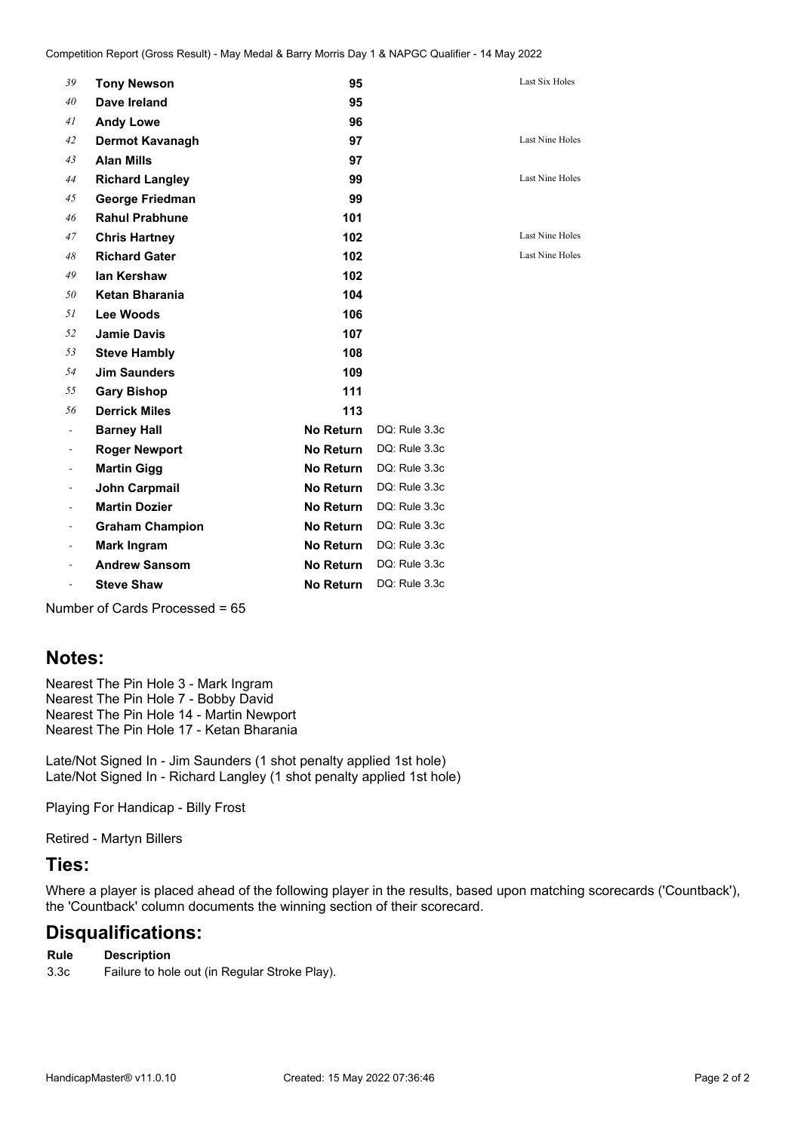| 39                       | <b>Tony Newson</b>     | 95               |               | Last Six Holes  |
|--------------------------|------------------------|------------------|---------------|-----------------|
| 40                       | Dave Ireland           | 95               |               |                 |
| 41                       | <b>Andy Lowe</b>       | 96               |               |                 |
| 42                       | <b>Dermot Kavanagh</b> | 97               |               | Last Nine Holes |
| 43                       | <b>Alan Mills</b>      | 97               |               |                 |
| 44                       | <b>Richard Langley</b> | 99               |               | Last Nine Holes |
| 45                       | George Friedman        | 99               |               |                 |
| 46                       | <b>Rahul Prabhune</b>  | 101              |               |                 |
| 47                       | <b>Chris Hartney</b>   | 102              |               | Last Nine Holes |
| 48                       | <b>Richard Gater</b>   | 102              |               | Last Nine Holes |
| 49                       | lan Kershaw            | 102              |               |                 |
| 50                       | Ketan Bharania         | 104              |               |                 |
| 51                       | Lee Woods              | 106              |               |                 |
| 52                       | <b>Jamie Davis</b>     | 107              |               |                 |
| 53                       | <b>Steve Hambly</b>    | 108              |               |                 |
| 54                       | <b>Jim Saunders</b>    | 109              |               |                 |
| 55                       | <b>Gary Bishop</b>     | 111              |               |                 |
| 56                       | <b>Derrick Miles</b>   | 113              |               |                 |
| $\overline{\phantom{a}}$ | <b>Barney Hall</b>     | <b>No Return</b> | DQ: Rule 3.3c |                 |
| $\overline{\phantom{a}}$ | <b>Roger Newport</b>   | <b>No Return</b> | DQ: Rule 3.3c |                 |
|                          | <b>Martin Gigg</b>     | No Return        | DQ: Rule 3.3c |                 |
|                          | <b>John Carpmail</b>   | No Return        | DQ: Rule 3.3c |                 |
| $\blacksquare$           | <b>Martin Dozier</b>   | <b>No Return</b> | DQ: Rule 3.3c |                 |
| $\overline{\phantom{a}}$ | <b>Graham Champion</b> | <b>No Return</b> | DQ: Rule 3.3c |                 |
|                          | <b>Mark Ingram</b>     | No Return        | DQ: Rule 3.3c |                 |
|                          | <b>Andrew Sansom</b>   | No Return        | DQ: Rule 3.3c |                 |
| $\overline{\phantom{0}}$ | <b>Steve Shaw</b>      | <b>No Return</b> | DQ: Rule 3.3c |                 |
|                          |                        |                  |               |                 |

Number of Cards Processed = 65

## **Notes:**

Nearest The Pin Hole 3 - Mark Ingram Nearest The Pin Hole 7 - Bobby David Nearest The Pin Hole 14 - Martin Newport Nearest The Pin Hole 17 - Ketan Bharania

Late/Not Signed In - Jim Saunders (1 shot penalty applied 1st hole) Late/Not Signed In - Richard Langley (1 shot penalty applied 1st hole)

Playing For Handicap - Billy Frost

Retired - Martyn Billers

### **Ties:**

Where a player is placed ahead of the following player in the results, based upon matching scorecards ('Countback'), the 'Countback' column documents the winning section of their scorecard.

## **Disqualifications:**

- **Rule Description**
- 3.3c Failure to hole out (in Regular Stroke Play).